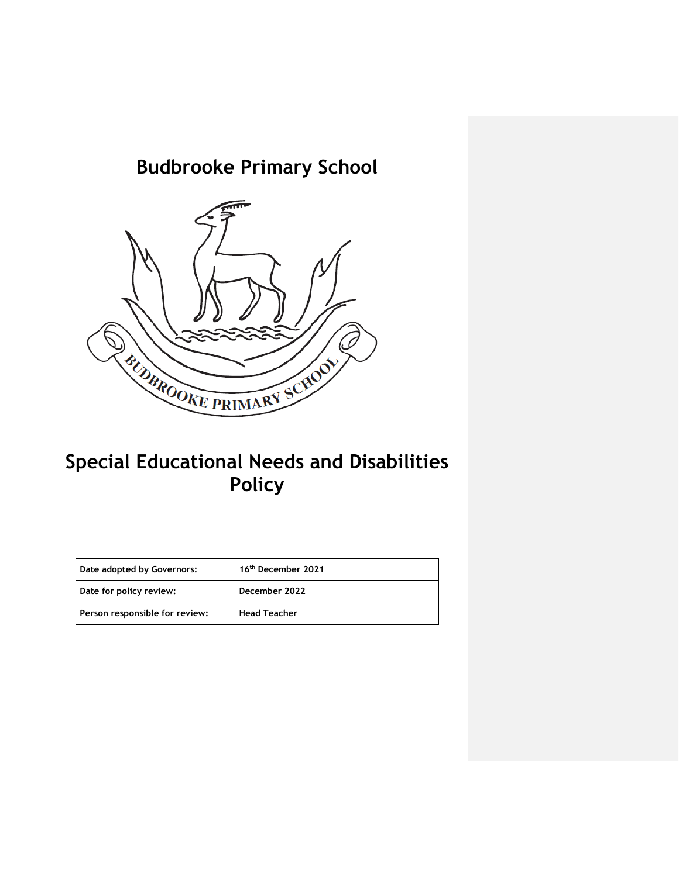# **Budbrooke Primary School**



## **Special Educational Needs and Disabilities Policy**

| Date adopted by Governors:     | 16 <sup>th</sup> December 2021 |
|--------------------------------|--------------------------------|
| Date for policy review:        | December 2022                  |
| Person responsible for review: | <b>Head Teacher</b>            |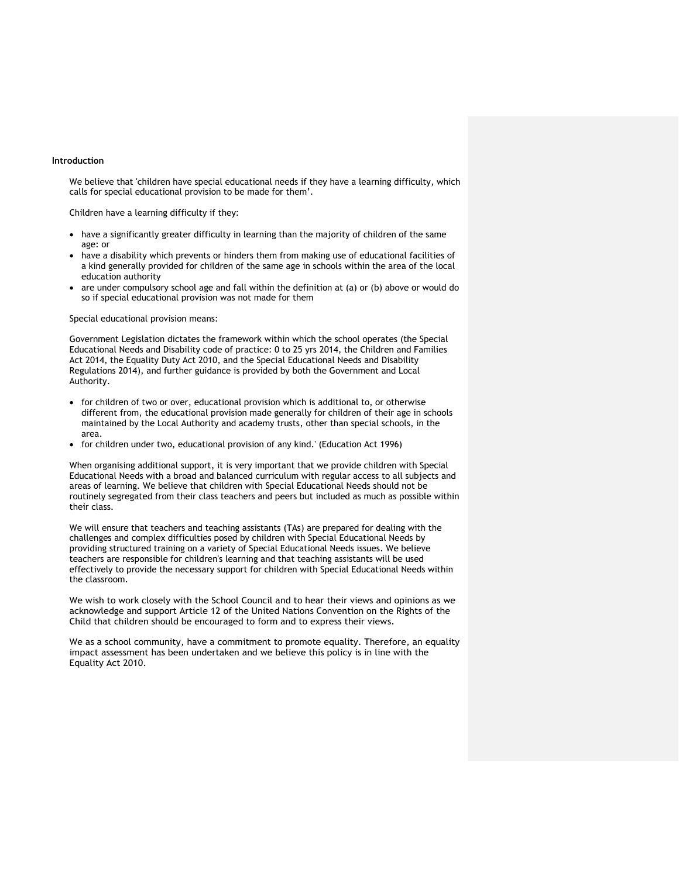#### **Introduction**

We believe that 'children have special educational needs if they have a learning difficulty, which calls for special educational provision to be made for them'.

Children have a learning difficulty if they:

- have a significantly greater difficulty in learning than the majority of children of the same age: or
- have a disability which prevents or hinders them from making use of educational facilities of a kind generally provided for children of the same age in schools within the area of the local education authority
- are under compulsory school age and fall within the definition at (a) or (b) above or would do so if special educational provision was not made for them

Special educational provision means:

Government Legislation dictates the framework within which the school operates (the Special Educational Needs and Disability code of practice: 0 to 25 yrs 2014, the Children and Families Act 2014, the Equality Duty Act 2010, and the Special Educational Needs and Disability Regulations 2014), and further guidance is provided by both the Government and Local Authority.

- for children of two or over, educational provision which is additional to, or otherwise different from, the educational provision made generally for children of their age in schools maintained by the Local Authority and academy trusts, other than special schools, in the area.
- for children under two, educational provision of any kind.' (Education Act 1996)

When organising additional support, it is very important that we provide children with Special Educational Needs with a broad and balanced curriculum with regular access to all subjects and areas of learning. We believe that children with Special Educational Needs should not be routinely segregated from their class teachers and peers but included as much as possible within their class.

We will ensure that teachers and teaching assistants (TAs) are prepared for dealing with the challenges and complex difficulties posed by children with Special Educational Needs by providing structured training on a variety of Special Educational Needs issues. We believe teachers are responsible for children's learning and that teaching assistants will be used effectively to provide the necessary support for children with Special Educational Needs within the classroom.

We wish to work closely with the School Council and to hear their views and opinions as we acknowledge and support Article 12 of the United Nations Convention on the Rights of the Child that children should be encouraged to form and to express their views.

We as a school community, have a commitment to promote equality. Therefore, an equality impact assessment has been undertaken and we believe this policy is in line with the Equality Act 2010.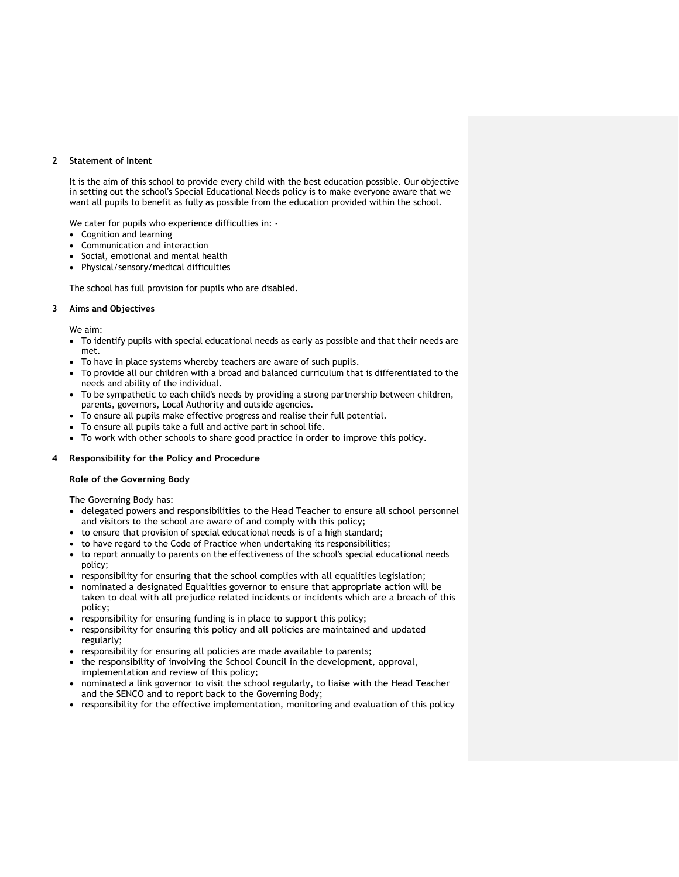#### **2 Statement of Intent**

It is the aim of this school to provide every child with the best education possible. Our objective in setting out the school's Special Educational Needs policy is to make everyone aware that we want all pupils to benefit as fully as possible from the education provided within the school.

We cater for pupils who experience difficulties in: -

- Cognition and learning
- Communication and interaction
- Social, emotional and mental health
- Physical/sensory/medical difficulties

The school has full provision for pupils who are disabled.

#### **3 Aims and Objectives**

We aim:

- To identify pupils with special educational needs as early as possible and that their needs are met.
- To have in place systems whereby teachers are aware of such pupils.
- To provide all our children with a broad and balanced curriculum that is differentiated to the needs and ability of the individual.
- To be sympathetic to each child's needs by providing a strong partnership between children, parents, governors, Local Authority and outside agencies.
- To ensure all pupils make effective progress and realise their full potential.
- To ensure all pupils take a full and active part in school life.
- To work with other schools to share good practice in order to improve this policy.

#### **4 Responsibility for the Policy and Procedure**

#### **Role of the Governing Body**

The Governing Body has:

- delegated powers and responsibilities to the Head Teacher to ensure all school personnel and visitors to the school are aware of and comply with this policy;
- to ensure that provision of special educational needs is of a high standard;
- to have regard to the Code of Practice when undertaking its responsibilities;
- to report annually to parents on the effectiveness of the school's special educational needs policy;
- responsibility for ensuring that the school complies with all equalities legislation;
- nominated a designated Equalities governor to ensure that appropriate action will be taken to deal with all prejudice related incidents or incidents which are a breach of this policy;
- responsibility for ensuring funding is in place to support this policy;
- responsibility for ensuring this policy and all policies are maintained and updated regularly;
- responsibility for ensuring all policies are made available to parents;
- the responsibility of involving the School Council in the development, approval, implementation and review of this policy;
- nominated a link governor to visit the school regularly, to liaise with the Head Teacher and the SENCO and to report back to the Governing Body;
- responsibility for the effective implementation, monitoring and evaluation of this policy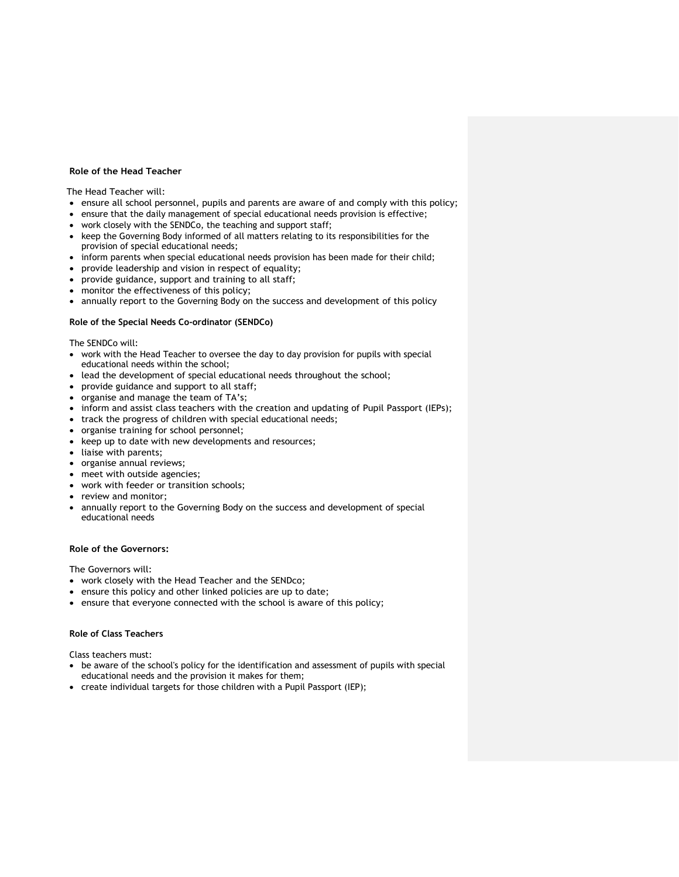#### **Role of the Head Teacher**

The Head Teacher will:

- ensure all school personnel, pupils and parents are aware of and comply with this policy;
- ensure that the daily management of special educational needs provision is effective;
- work closely with the SENDCo, the teaching and support staff;
- keep the Governing Body informed of all matters relating to its responsibilities for the provision of special educational needs;
- inform parents when special educational needs provision has been made for their child;
- provide leadership and vision in respect of equality;
- provide guidance, support and training to all staff;
- monitor the effectiveness of this policy;
- annually report to the Governing Body on the success and development of this policy

#### **Role of the Special Needs Co-ordinator (SENDCo)**

The SENDCo will:

- work with the Head Teacher to oversee the day to day provision for pupils with special educational needs within the school;
- lead the development of special educational needs throughout the school;
- provide guidance and support to all staff;
- organise and manage the team of TA's;
- inform and assist class teachers with the creation and updating of Pupil Passport (IEPs);
- track the progress of children with special educational needs;
- organise training for school personnel;
- keep up to date with new developments and resources;
- liaise with parents;
- organise annual reviews;
- meet with outside agencies;
- work with feeder or transition schools;
- review and monitor;
- annually report to the Governing Body on the success and development of special educational needs

#### **Role of the Governors:**

The Governors will:

- work closely with the Head Teacher and the SENDco;
- ensure this policy and other linked policies are up to date;
- ensure that everyone connected with the school is aware of this policy;

#### **Role of Class Teachers**

Class teachers must:

- be aware of the school's policy for the identification and assessment of pupils with special educational needs and the provision it makes for them;
- create individual targets for those children with a Pupil Passport (IEP);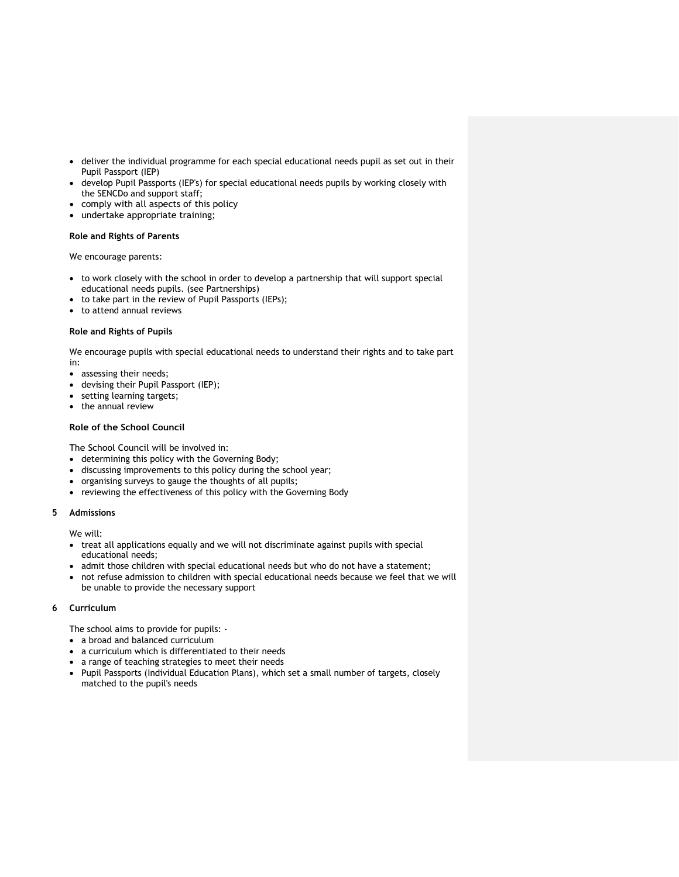- deliver the individual programme for each special educational needs pupil as set out in their Pupil Passport (IEP)
- develop Pupil Passports (IEP's) for special educational needs pupils by working closely with the SENCDo and support staff;
- comply with all aspects of this policy
- undertake appropriate training;

#### **Role and Rights of Parents**

We encourage parents:

- to work closely with the school in order to develop a partnership that will support special educational needs pupils. (see Partnerships)
- to take part in the review of Pupil Passports (IEPs);
- to attend annual reviews

#### **Role and Rights of Pupils**

We encourage pupils with special educational needs to understand their rights and to take part in:

- assessing their needs;
- devising their Pupil Passport (IEP);
- setting learning targets;
- the annual review

#### **Role of the School Council**

The School Council will be involved in:

- determining this policy with the Governing Body;
- discussing improvements to this policy during the school year;
- organising surveys to gauge the thoughts of all pupils;
- reviewing the effectiveness of this policy with the Governing Body

#### **5 Admissions**

We will:

- treat all applications equally and we will not discriminate against pupils with special educational needs;
- admit those children with special educational needs but who do not have a statement;
- not refuse admission to children with special educational needs because we feel that we will be unable to provide the necessary support

#### **6 Curriculum**

The school aims to provide for pupils: -

- a broad and balanced curriculum
- a curriculum which is differentiated to their needs
- a range of teaching strategies to meet their needs
- Pupil Passports (Individual Education Plans), which set a small number of targets, closely matched to the pupil's needs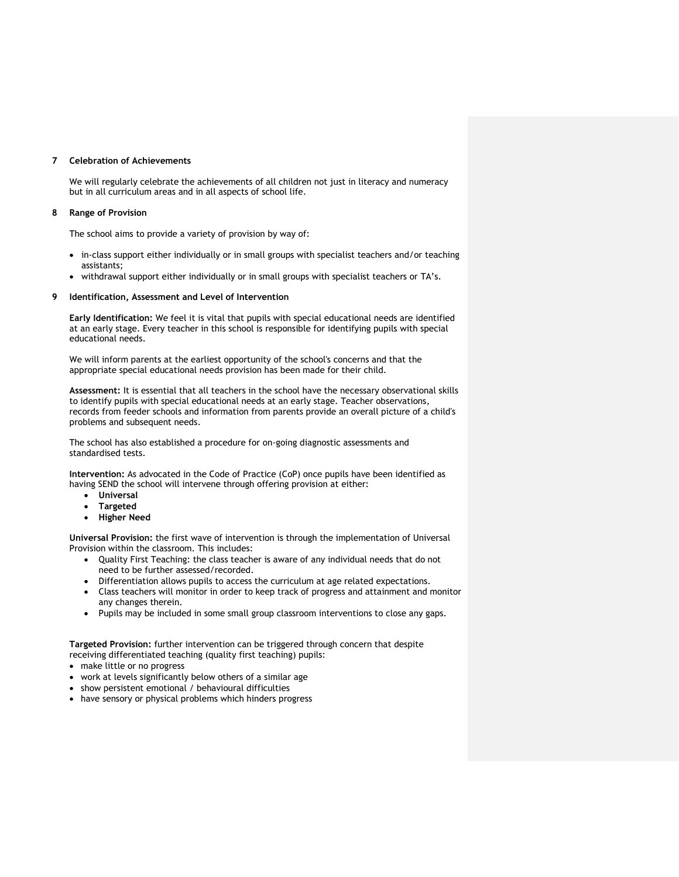#### **7 Celebration of Achievements**

We will regularly celebrate the achievements of all children not just in literacy and numeracy but in all curriculum areas and in all aspects of school life.

#### **8 Range of Provision**

The school aims to provide a variety of provision by way of:

- in-class support either individually or in small groups with specialist teachers and/or teaching assistants;
- withdrawal support either individually or in small groups with specialist teachers or TA's.

#### **9 Identification, Assessment and Level of Intervention**

**Early Identification:** We feel it is vital that pupils with special educational needs are identified at an early stage. Every teacher in this school is responsible for identifying pupils with special educational needs.

We will inform parents at the earliest opportunity of the school's concerns and that the appropriate special educational needs provision has been made for their child.

**Assessment:** It is essential that all teachers in the school have the necessary observational skills to identify pupils with special educational needs at an early stage. Teacher observations, records from feeder schools and information from parents provide an overall picture of a child's problems and subsequent needs.

The school has also established a procedure for on-going diagnostic assessments and standardised tests.

**Intervention:** As advocated in the Code of Practice (CoP) once pupils have been identified as having SEND the school will intervene through offering provision at either:

- **Universal**
- **Targeted**
- **Higher Need**

**Universal Provision:** the first wave of intervention is through the implementation of Universal Provision within the classroom. This includes:

- Quality First Teaching: the class teacher is aware of any individual needs that do not need to be further assessed/recorded.
- Differentiation allows pupils to access the curriculum at age related expectations.
- Class teachers will monitor in order to keep track of progress and attainment and monitor any changes therein.
- Pupils may be included in some small group classroom interventions to close any gaps.

**Targeted Provision:** further intervention can be triggered through concern that despite receiving differentiated teaching (quality first teaching) pupils:

- make little or no progress
- work at levels significantly below others of a similar age
- show persistent emotional / behavioural difficulties
- have sensory or physical problems which hinders progress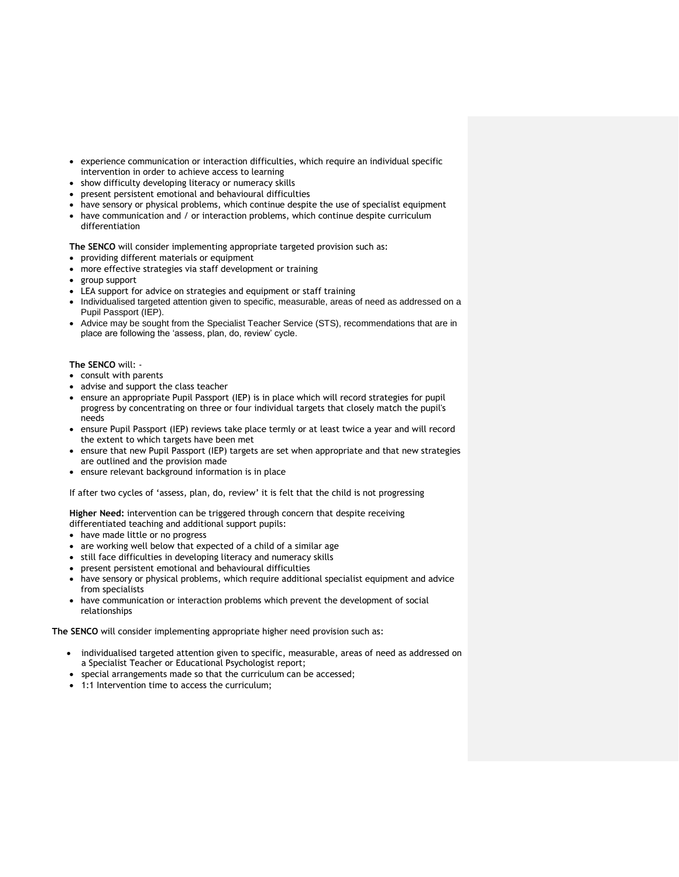- experience communication or interaction difficulties, which require an individual specific intervention in order to achieve access to learning
- show difficulty developing literacy or numeracy skills
- present persistent emotional and behavioural difficulties
- have sensory or physical problems, which continue despite the use of specialist equipment
- have communication and / or interaction problems, which continue despite curriculum differentiation

**The SENCO** will consider implementing appropriate targeted provision such as:

- providing different materials or equipment
- more effective strategies via staff development or training
- group support
- LEA support for advice on strategies and equipment or staff training
- Individualised targeted attention given to specific, measurable, areas of need as addressed on a Pupil Passport (IEP).
- Advice may be sought from the Specialist Teacher Service (STS), recommendations that are in place are following the 'assess, plan, do, review' cycle.

#### **The SENCO** will: -

- consult with parents
- advise and support the class teacher
- ensure an appropriate Pupil Passport (IEP) is in place which will record strategies for pupil progress by concentrating on three or four individual targets that closely match the pupil's needs
- ensure Pupil Passport (IEP) reviews take place termly or at least twice a year and will record the extent to which targets have been met
- ensure that new Pupil Passport (IEP) targets are set when appropriate and that new strategies are outlined and the provision made
- ensure relevant background information is in place

If after two cycles of 'assess, plan, do, review' it is felt that the child is not progressing

**Higher Need:** intervention can be triggered through concern that despite receiving differentiated teaching and additional support pupils:

- have made little or no progress
- are working well below that expected of a child of a similar age
- still face difficulties in developing literacy and numeracy skills
- present persistent emotional and behavioural difficulties
- have sensory or physical problems, which require additional specialist equipment and advice from specialists
- have communication or interaction problems which prevent the development of social relationships

**The SENCO** will consider implementing appropriate higher need provision such as:

- individualised targeted attention given to specific, measurable, areas of need as addressed on a Specialist Teacher or Educational Psychologist report;
- special arrangements made so that the curriculum can be accessed;
- 1:1 Intervention time to access the curriculum;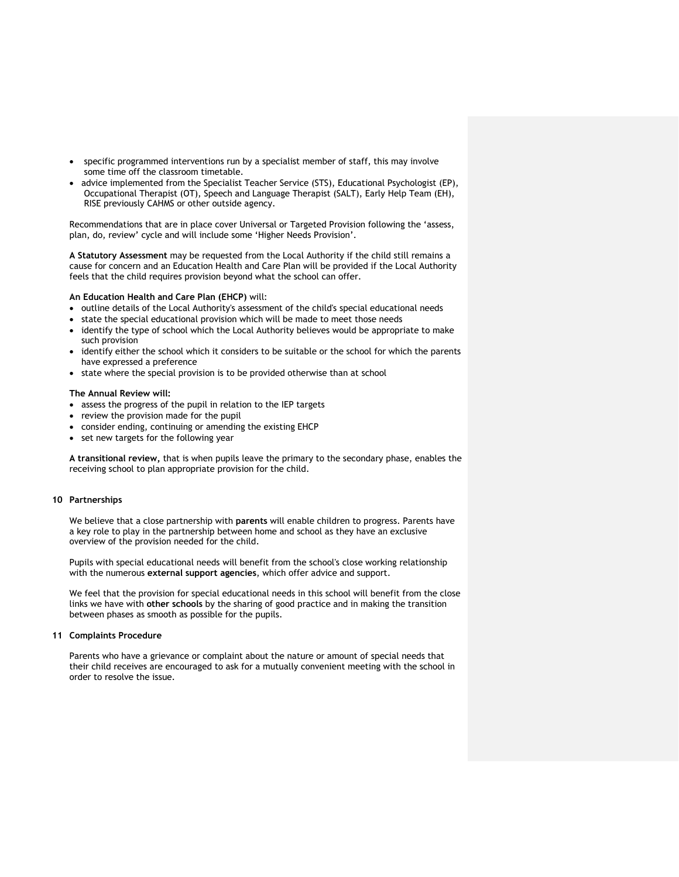- specific programmed interventions run by a specialist member of staff, this may involve some time off the classroom timetable.
- advice implemented from the Specialist Teacher Service (STS), Educational Psychologist (EP), Occupational Therapist (OT), Speech and Language Therapist (SALT), Early Help Team (EH), RISE previously CAHMS or other outside agency.

Recommendations that are in place cover Universal or Targeted Provision following the 'assess, plan, do, review' cycle and will include some 'Higher Needs Provision'.

**A Statutory Assessment** may be requested from the Local Authority if the child still remains a cause for concern and an Education Health and Care Plan will be provided if the Local Authority feels that the child requires provision beyond what the school can offer.

#### **An Education Health and Care Plan (EHCP)** will:

- outline details of the Local Authority's assessment of the child's special educational needs
- state the special educational provision which will be made to meet those needs
- identify the type of school which the Local Authority believes would be appropriate to make such provision
- identify either the school which it considers to be suitable or the school for which the parents have expressed a preference
- state where the special provision is to be provided otherwise than at school

#### **The Annual Review will:**

- assess the progress of the pupil in relation to the IEP targets
- review the provision made for the pupil
- consider ending, continuing or amending the existing EHCP
- set new targets for the following year

**A transitional review,** that is when pupils leave the primary to the secondary phase, enables the receiving school to plan appropriate provision for the child.

#### **10 Partnerships**

We believe that a close partnership with **parents** will enable children to progress. Parents have a key role to play in the partnership between home and school as they have an exclusive overview of the provision needed for the child.

Pupils with special educational needs will benefit from the school's close working relationship with the numerous **external support agencies**, which offer advice and support.

We feel that the provision for special educational needs in this school will benefit from the close links we have with **other schools** by the sharing of good practice and in making the transition between phases as smooth as possible for the pupils.

#### **11 Complaints Procedure**

Parents who have a grievance or complaint about the nature or amount of special needs that their child receives are encouraged to ask for a mutually convenient meeting with the school in order to resolve the issue.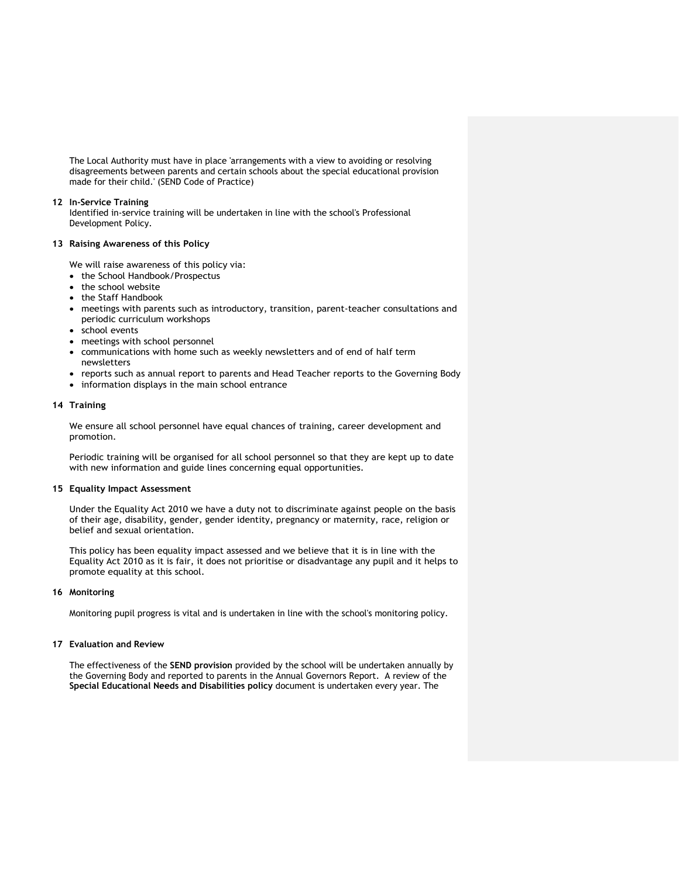The Local Authority must have in place 'arrangements with a view to avoiding or resolving disagreements between parents and certain schools about the special educational provision made for their child.' (SEND Code of Practice)

#### **12 In-Service Training**

Identified in-service training will be undertaken in line with the school's Professional Development Policy.

#### **13 Raising Awareness of this Policy**

We will raise awareness of this policy via:

- the School Handbook/Prospectus
- the school website
- the Staff Handbook
- meetings with parents such as introductory, transition, parent-teacher consultations and periodic curriculum workshops
- school events
- meetings with school personnel
- communications with home such as weekly newsletters and of end of half term newsletters
- reports such as annual report to parents and Head Teacher reports to the Governing Body
- information displays in the main school entrance

#### **14 Training**

We ensure all school personnel have equal chances of training, career development and promotion.

Periodic training will be organised for all school personnel so that they are kept up to date with new information and guide lines concerning equal opportunities.

#### **15 Equality Impact Assessment**

Under the Equality Act 2010 we have a duty not to discriminate against people on the basis of their age, disability, gender, gender identity, pregnancy or maternity, race, religion or belief and sexual orientation.

This policy has been equality impact assessed and we believe that it is in line with the Equality Act 2010 as it is fair, it does not prioritise or disadvantage any pupil and it helps to promote equality at this school.

#### **16 Monitoring**

Monitoring pupil progress is vital and is undertaken in line with the school's monitoring policy.

#### **17 Evaluation and Review**

The effectiveness of the **SEND provision** provided by the school will be undertaken annually by the Governing Body and reported to parents in the Annual Governors Report. A review of the **Special Educational Needs and Disabilities policy** document is undertaken every year. The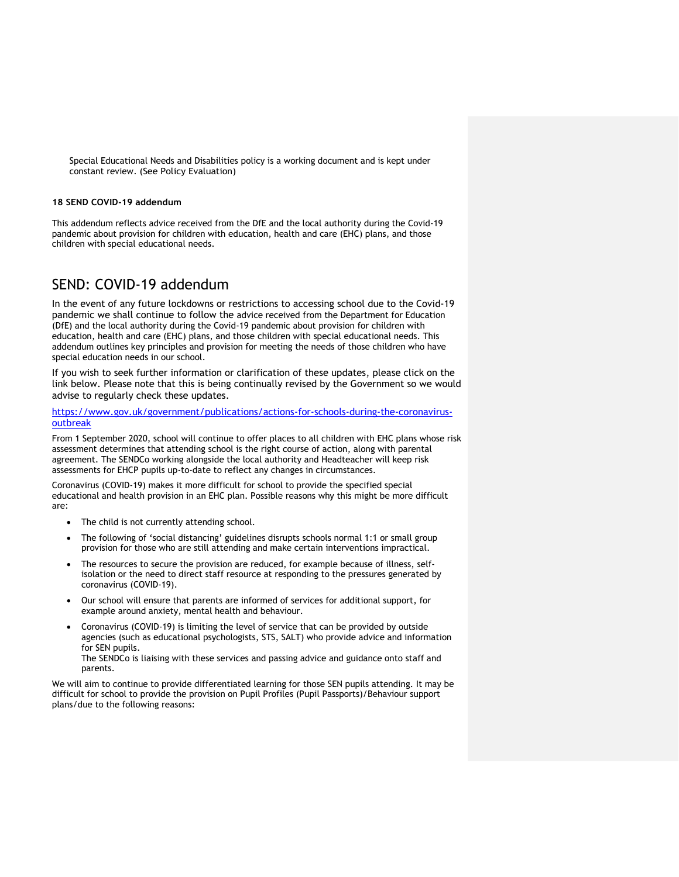Special Educational Needs and Disabilities policy is a working document and is kept under constant review. (See Policy Evaluation)

#### **18 SEND COVID-19 addendum**

This addendum reflects advice received from the DfE and the local authority during the Covid-19 pandemic about provision for children with education, health and care (EHC) plans, and those children with special educational needs.

### SEND: COVID-19 addendum

In the event of any future lockdowns or restrictions to accessing school due to the Covid-19 pandemic we shall continue to follow the advice received from the Department for Education (DfE) and the local authority during the Covid-19 pandemic about provision for children with education, health and care (EHC) plans, and those children with special educational needs. This addendum outlines key principles and provision for meeting the needs of those children who have special education needs in our school.

If you wish to seek further information or clarification of these updates, please click on the link below. Please note that this is being continually revised by the Government so we would advise to regularly check these updates.

#### [https://www.gov.uk/government/publications/actions-for-schools-during-the-coronavirus](https://www.gov.uk/government/publications/actions-for-schools-during-the-coronavirus-outbreak)[outbreak](https://www.gov.uk/government/publications/actions-for-schools-during-the-coronavirus-outbreak)

From 1 September 2020, school will continue to offer places to all children with EHC plans whose risk assessment determines that attending school is the right course of action, along with parental agreement. The SENDCo working alongside the local authority and Headteacher will keep risk assessments for EHCP pupils up-to-date to reflect any changes in circumstances.

Coronavirus (COVID-19) makes it more difficult for school to provide the specified special educational and health provision in an EHC plan. Possible reasons why this might be more difficult are:

- The child is not currently attending school.
- The following of 'social distancing' guidelines disrupts schools normal 1:1 or small group provision for those who are still attending and make certain interventions impractical.
- The resources to secure the provision are reduced, for example because of illness, selfisolation or the need to direct staff resource at responding to the pressures generated by coronavirus (COVID-19).
- Our school will ensure that parents are informed of services for additional support, for example around anxiety, mental health and behaviour.
- Coronavirus (COVID-19) is limiting the level of service that can be provided by outside agencies (such as educational psychologists, STS, SALT) who provide advice and information for SEN pupils.

The SENDCo is liaising with these services and passing advice and guidance onto staff and parents.

We will aim to continue to provide differentiated learning for those SEN pupils attending. It may be difficult for school to provide the provision on Pupil Profiles (Pupil Passports)/Behaviour support plans/due to the following reasons: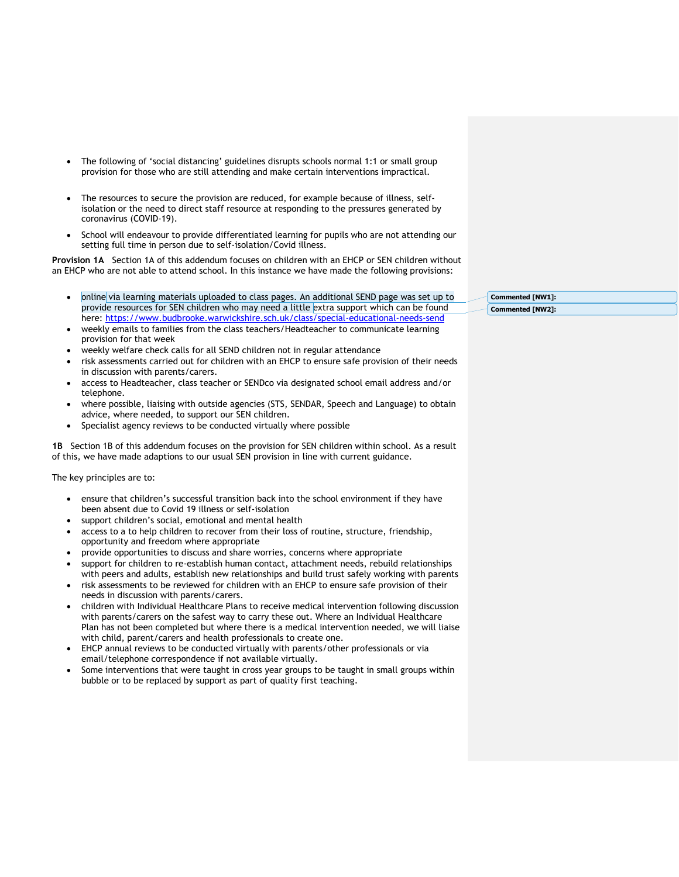- The following of 'social distancing' guidelines disrupts schools normal 1:1 or small group provision for those who are still attending and make certain interventions impractical.
- The resources to secure the provision are reduced, for example because of illness, selfisolation or the need to direct staff resource at responding to the pressures generated by coronavirus (COVID-19).
- School will endeavour to provide differentiated learning for pupils who are not attending our setting full time in person due to self-isolation/Covid illness.

**Provision 1A** Section 1A of this addendum focuses on children with an EHCP or SEN children without an EHCP who are not able to attend school. In this instance we have made the following provisions:

- online via learning materials uploaded to class pages. An additional SEND page was set up to provide resources for SEN children who may need a little extra support which can be found here:<https://www.budbrooke.warwickshire.sch.uk/class/special-educational-needs-send>
- weekly emails to families from the class teachers/Headteacher to communicate learning provision for that week
- weekly welfare check calls for all SEND children not in regular attendance
- risk assessments carried out for children with an EHCP to ensure safe provision of their needs in discussion with parents/carers.
- access to Headteacher, class teacher or SENDco via designated school email address and/or telephone.
- where possible, liaising with outside agencies (STS, SENDAR, Speech and Language) to obtain advice, where needed, to support our SEN children.
- Specialist agency reviews to be conducted virtually where possible

**1B** Section 1B of this addendum focuses on the provision for SEN children within school. As a result of this, we have made adaptions to our usual SEN provision in line with current guidance.

The key principles are to:

- ensure that children's successful transition back into the school environment if they have been absent due to Covid 19 illness or self-isolation
- support children's social, emotional and mental health
- access to a to help children to recover from their loss of routine, structure, friendship, opportunity and freedom where appropriate
- provide opportunities to discuss and share worries, concerns where appropriate
- support for children to re-establish human contact, attachment needs, rebuild relationships with peers and adults, establish new relationships and build trust safely working with parents
- risk assessments to be reviewed for children with an EHCP to ensure safe provision of their needs in discussion with parents/carers.
- children with Individual Healthcare Plans to receive medical intervention following discussion with parents/carers on the safest way to carry these out. Where an Individual Healthcare Plan has not been completed but where there is a medical intervention needed, we will liaise with child, parent/carers and health professionals to create one.
- EHCP annual reviews to be conducted virtually with parents/other professionals or via email/telephone correspondence if not available virtually.
- Some interventions that were taught in cross year groups to be taught in small groups within bubble or to be replaced by support as part of quality first teaching.

**Commented [NW1]: Commented [NW2]:**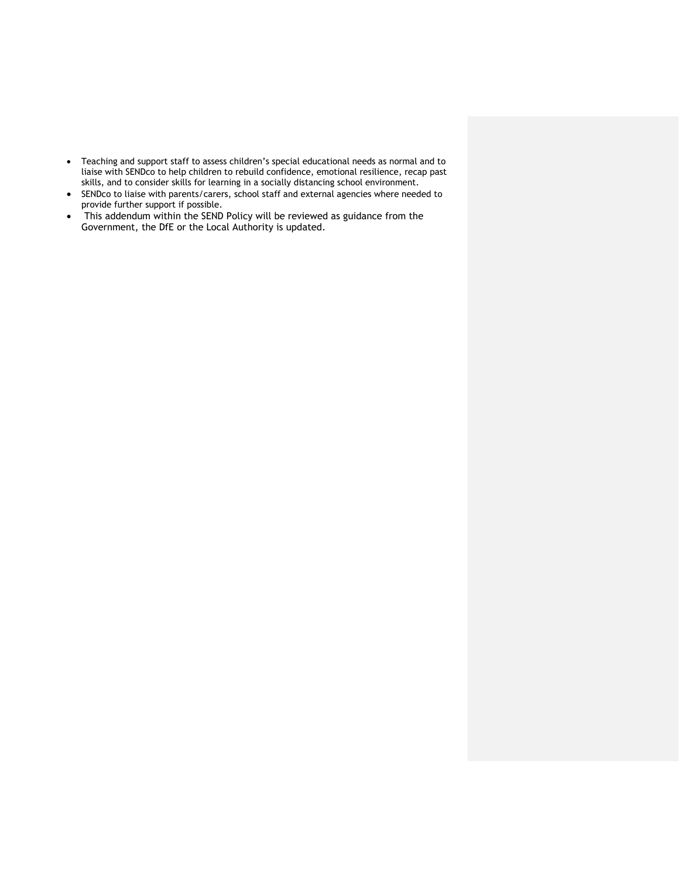- Teaching and support staff to assess children's special educational needs as normal and to liaise with SENDco to help children to rebuild confidence, emotional resilience, recap past skills, and to consider skills for learning in a socially distancing school environment.
- SENDco to liaise with parents/carers, school staff and external agencies where needed to provide further support if possible.
- This addendum within the SEND Policy will be reviewed as guidance from the Government, the DfE or the Local Authority is updated.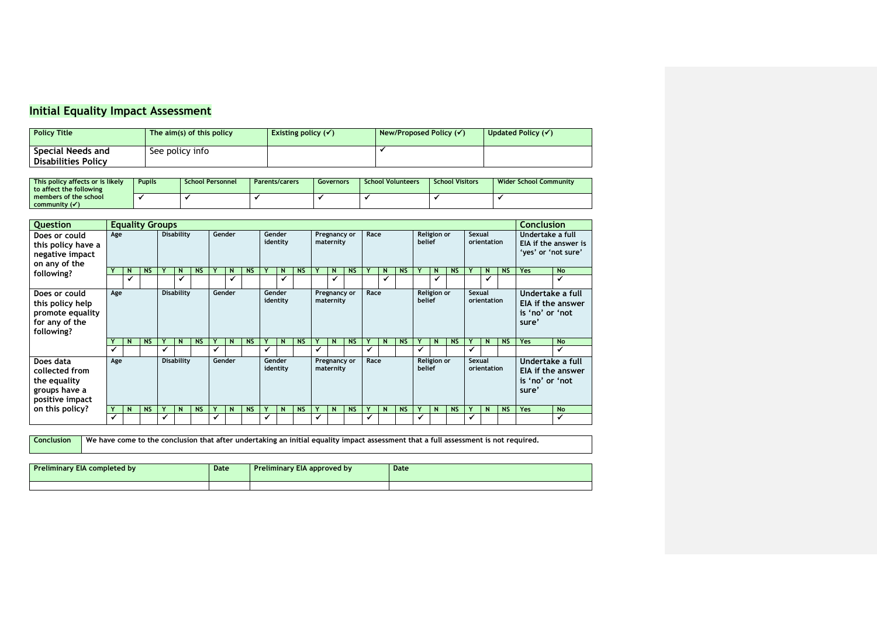## **Initial Equality Impact Assessment**

| <b>Policy Title</b> | The $aim(s)$ of this policy | Existing policy $(\checkmark)$ | New/Proposed Policy (√) | Updated Policy $(\checkmark)$ |
|---------------------|-----------------------------|--------------------------------|-------------------------|-------------------------------|
| Special Needs and   | See policy info             |                                |                         |                               |
| Disabilities Policy |                             |                                |                         |                               |

| This policy affects or is likely<br>to affect the following | <b>Pupils</b> | <b>School Personnel</b> | <b>Parents/carers</b> | Governors | <b>School Volunteers</b> | <b>School Visitors</b> | <b>Wider School Community</b> |
|-------------------------------------------------------------|---------------|-------------------------|-----------------------|-----------|--------------------------|------------------------|-------------------------------|
| members of the school<br>community $(\checkmark)$           |               |                         |                       |           |                          |                        |                               |

| <b>Ouestion</b>                                                                       | <b>Equality Groups</b> |              |                   |   |                             |           |   |                    |           |                    |                    | <b>Conclusion</b>                 |   |                           |           |        |             |             |        |                       |           |                                                                          |                                                                 |           |                                              |                   |
|---------------------------------------------------------------------------------------|------------------------|--------------|-------------------|---|-----------------------------|-----------|---|--------------------|-----------|--------------------|--------------------|-----------------------------------|---|---------------------------|-----------|--------|-------------|-------------|--------|-----------------------|-----------|--------------------------------------------------------------------------|-----------------------------------------------------------------|-----------|----------------------------------------------|-------------------|
| Does or could<br>this policy have a<br>negative impact<br>on any of the               | Age                    |              | <b>Disability</b> |   | Gender                      |           |   | Gender<br>identity |           |                    |                    | Pregnancy or<br>maternity         |   | Race                      |           |        | belief      | Religion or |        | Sexual<br>orientation |           |                                                                          | Undertake a full<br>EIA if the answer is<br>'yes' or 'not sure' |           |                                              |                   |
| following?                                                                            |                        | N            | <b>NS</b>         |   | $\mathsf{N}$                | <b>NS</b> |   | N                  | <b>NS</b> |                    | N                  | <b>NS</b>                         |   | N                         | <b>NS</b> |        | N           | <b>NS</b>   |        | N                     | <b>NS</b> |                                                                          | N                                                               | <b>NS</b> | <b>Yes</b>                                   | <b>No</b>         |
|                                                                                       |                        | $\checkmark$ |                   |   | ✓                           |           |   | $\checkmark$       |           |                    | $\checkmark$       |                                   |   | $\checkmark$              |           |        |             |             |        | $\checkmark$          |           |                                                                          |                                                                 |           |                                              | $\checkmark$      |
| Does or could<br>this policy help<br>promote equality<br>for any of the<br>following? | Age                    |              |                   |   | <b>Disability</b><br>Gender |           |   |                    |           | Gender<br>identity |                    | Race<br>Pregnancy or<br>maternity |   |                           |           | belief | Religion or |             | Sexual | orientation           |           | Undertake a full<br><b>EIA if the answer</b><br>is 'no' or 'not<br>sure' |                                                                 |           |                                              |                   |
|                                                                                       |                        | N            | <b>NS</b>         |   | $\mathsf{N}$                | <b>NS</b> | Y | N                  | <b>NS</b> |                    | N                  | <b>NS</b>                         | ۷ | N                         | <b>NS</b> | Υ      | $\mathbf N$ | <b>NS</b>   |        | $\mathsf{N}$          | <b>NS</b> | Y                                                                        | N                                                               | <b>NS</b> | <b>Yes</b>                                   | <b>No</b>         |
|                                                                                       | ✔                      |              |                   | ✔ |                             |           | ✔ |                    |           | ✔                  |                    |                                   | ✔ |                           |           | ✔      |             |             | ✔      |                       |           |                                                                          |                                                                 |           |                                              | ✓                 |
| Does data<br>collected from<br>the equality<br>groups have a<br>positive impact       | Age                    |              |                   |   | <b>Disability</b>           |           |   | Gender             |           |                    | Gender<br>identity |                                   |   | Pregnancy or<br>maternity |           | Race   |             |             | belief | Religion or           |           | Sexual                                                                   | orientation                                                     |           | Undertake a full<br>is 'no' or 'not<br>sure' | EIA if the answer |
| on this policy?                                                                       |                        | N            | <b>NS</b>         |   | $\mathsf{N}$                | <b>NS</b> |   | N                  | <b>NS</b> |                    | N                  | <b>NS</b>                         | ۷ | $\mathsf{N}$              | <b>NS</b> | Υ      | $\mathbf N$ | <b>NS</b>   |        | $\mathsf{N}$          | <b>NS</b> |                                                                          | N                                                               | <b>NS</b> | <b>Yes</b>                                   | <b>No</b>         |
|                                                                                       | ✔                      |              |                   |   |                             |           | ✔ |                    |           | ✔                  |                    |                                   | ✔ |                           |           | √      |             |             | ✔      |                       |           |                                                                          |                                                                 |           |                                              | ✔                 |

**Conclusion We have come to the conclusion that after undertaking an initial equality impact assessment that a full assessment is not required.**

| Preliminary EIA completed by | Date | <b>Preliminary EIA approved by</b> | Date |  |  |  |  |
|------------------------------|------|------------------------------------|------|--|--|--|--|
|                              |      |                                    |      |  |  |  |  |